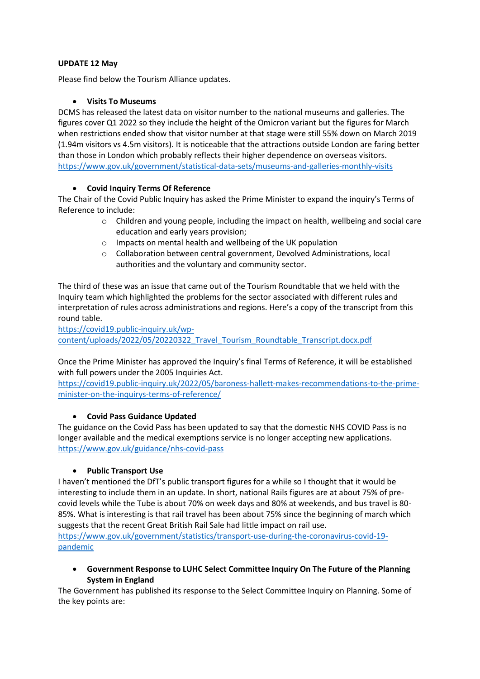### **UPDATE 12 May**

Please find below the Tourism Alliance updates.

### **Visits To Museums**

DCMS has released the latest data on visitor number to the national museums and galleries. The figures cover Q1 2022 so they include the height of the Omicron variant but the figures for March when restrictions ended show that visitor number at that stage were still 55% down on March 2019 (1.94m visitors vs 4.5m visitors). It is noticeable that the attractions outside London are faring better than those in London which probably reflects their higher dependence on overseas visitors. <https://www.gov.uk/government/statistical-data-sets/museums-and-galleries-monthly-visits>

# **Covid Inquiry Terms Of Reference**

The Chair of the Covid Public Inquiry has asked the Prime Minister to expand the inquiry's Terms of Reference to include:

- o Children and young people, including the impact on health, wellbeing and social care education and early years provision;
- o Impacts on mental health and wellbeing of the UK population
- $\circ$  Collaboration between central government, Devolved Administrations, local authorities and the voluntary and community sector.

The third of these was an issue that came out of the Tourism Roundtable that we held with the Inquiry team which highlighted the problems for the sector associated with different rules and interpretation of rules across administrations and regions. Here's a copy of the transcript from this round table.

[https://covid19.public-inquiry.uk/wp](https://covid19.public-inquiry.uk/wp-content/uploads/2022/05/20220322_Travel_Tourism_Roundtable_Transcript.docx.pdf)[content/uploads/2022/05/20220322\\_Travel\\_Tourism\\_Roundtable\\_Transcript.docx.pdf](https://covid19.public-inquiry.uk/wp-content/uploads/2022/05/20220322_Travel_Tourism_Roundtable_Transcript.docx.pdf)

Once the Prime Minister has approved the Inquiry's final Terms of Reference, it will be established with full powers under the 2005 Inquiries Act.

[https://covid19.public-inquiry.uk/2022/05/baroness-hallett-makes-recommendations-to-the-prime](https://covid19.public-inquiry.uk/2022/05/baroness-hallett-makes-recommendations-to-the-prime-minister-on-the-inquirys-terms-of-reference/)[minister-on-the-inquirys-terms-of-reference/](https://covid19.public-inquiry.uk/2022/05/baroness-hallett-makes-recommendations-to-the-prime-minister-on-the-inquirys-terms-of-reference/)

# **Covid Pass Guidance Updated**

The guidance on the Covid Pass has been updated to say that the domestic NHS COVID Pass is no longer available and the medical exemptions service is no longer accepting new applications. <https://www.gov.uk/guidance/nhs-covid-pass>

# **Public Transport Use**

I haven't mentioned the DfT's public transport figures for a while so I thought that it would be interesting to include them in an update. In short, national Rails figures are at about 75% of precovid levels while the Tube is about 70% on week days and 80% at weekends, and bus travel is 80- 85%. What is interesting is that rail travel has been about 75% since the beginning of march which suggests that the recent Great British Rail Sale had little impact on rail use.

[https://www.gov.uk/government/statistics/transport-use-during-the-coronavirus-covid-19](https://www.gov.uk/government/statistics/transport-use-during-the-coronavirus-covid-19-pandemic) [pandemic](https://www.gov.uk/government/statistics/transport-use-during-the-coronavirus-covid-19-pandemic)

 **Government Response to LUHC Select Committee Inquiry On The Future of the Planning System in England**

The Government has published its response to the Select Committee Inquiry on Planning. Some of the key points are: